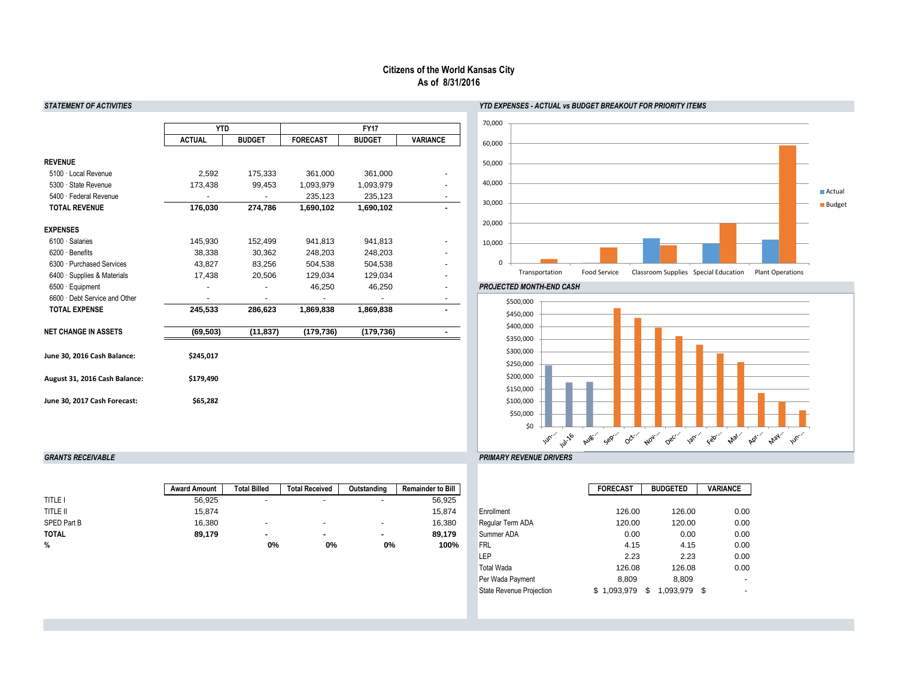### *STATEMENT OF ACTIVITIES YTD EXPENSES - ACTUAL vs BUDGET BREAKOUT FOR PRIORITY ITEMS*

|                               | <b>YTD</b>    |               |                 | <b>FY17</b>   |                 |
|-------------------------------|---------------|---------------|-----------------|---------------|-----------------|
|                               | <b>ACTUAL</b> | <b>BUDGET</b> | <b>FORECAST</b> | <b>BUDGET</b> | <b>VARIANCE</b> |
| <b>REVENUE</b>                |               |               |                 |               |                 |
| 5100 · Local Revenue          | 2,592         | 175,333       | 361,000         | 361,000       |                 |
| 5300 · State Revenue          | 173,438       | 99,453        | 1,093,979       | 1,093,979     |                 |
| 5400 · Federal Revenue        |               |               | 235,123         | 235,123       |                 |
| <b>TOTAL REVENUE</b>          | 176,030       | 274,786       | 1,690,102       | 1,690,102     |                 |
| <b>EXPENSES</b>               |               |               |                 |               |                 |
| 6100 · Salaries               | 145,930       | 152,499       | 941,813         | 941,813       |                 |
| $6200 \cdot$ Benefits         | 38,338        | 30,362        | 248,203         | 248,203       |                 |
| 6300 · Purchased Services     | 43,827        | 83,256        | 504,538         | 504,538       |                 |
| 6400 · Supplies & Materials   | 17,438        | 20,506        | 129,034         | 129,034       |                 |
| $6500 \cdot$ Equipment        |               |               | 46,250          | 46,250        |                 |
| 6600 · Debt Service and Other |               |               |                 |               |                 |
| <b>TOTAL EXPENSE</b>          | 245,533       | 286,623       | 1,869,838       | 1,869,838     |                 |
| <b>NET CHANGE IN ASSETS</b>   | (69, 503)     | (11, 837)     | (179, 736)      | (179, 736)    |                 |
| June 30, 2016 Cash Balance:   | \$245,017     |               |                 |               |                 |
| August 31, 2016 Cash Balance: | \$179,490     |               |                 |               |                 |
| June 30, 2017 Cash Forecast:  | \$65,282      |               |                 |               |                 |

## *GRANTS RECEIVABLE PRIMARY REVENUE DRIVERS*

|                    | <b>Award Amount</b> | <b>Total Billed</b>      | <b>Total Received</b> | Outstanding              | <b>Remainder to Bill</b> |                  | <b>FORECAST</b> | <b>BUDGETED</b> | <b>VARIANCE</b> |
|--------------------|---------------------|--------------------------|-----------------------|--------------------------|--------------------------|------------------|-----------------|-----------------|-----------------|
| TITLE I            | 56,925              | -                        |                       |                          | 56,925                   |                  |                 |                 |                 |
| <b>TITLE II</b>    | 15,874              |                          |                       |                          | 15,874                   | Enrollment       | 126.00          | 126.00          | 0.00            |
| <b>SPED Part B</b> | 16,380              | $\overline{\phantom{a}}$ |                       | $\overline{\phantom{0}}$ | 16,380                   | Regular Term ADA | 120.00          | 120.00          | 0.00            |
| <b>TOTAL</b>       | 89,179              |                          |                       |                          | 89,179                   | Summer ADA       | 0.00            | 0.00            | 0.00            |
| %                  |                     | 0%                       | $0\%$                 | 0%                       | 100%                     | Frl              | 4.15            | 4.15            | 0.00            |

|                                 | <b>FORECAST</b> | <b>BUDGETED</b> | <b>VARIANCE</b> |
|---------------------------------|-----------------|-----------------|-----------------|
|                                 |                 |                 |                 |
| Enrollment                      | 126.00          | 126.00          | 0.00            |
| Regular Term ADA                | 120.00          | 120.00          | 0.00            |
| Summer ADA                      | 0.00            | 0.00            | 0.00            |
| <b>FRL</b>                      | 4.15            | 4.15            | 0.00            |
| LEP                             | 2.23            | 2.23            | 0.00            |
| <b>Total Wada</b>               | 126.08          | 126.08          | 0.00            |
| Per Wada Payment                | 8,809           | 8,809           |                 |
| <b>State Revenue Projection</b> | 1,093,979<br>S  | 1,093,979<br>\$ | S               |
|                                 |                 |                 |                 |

# **Citizens of the World Kansas City As of 8/31/2016**



#### **PROJECTED MONTH-END CASH**

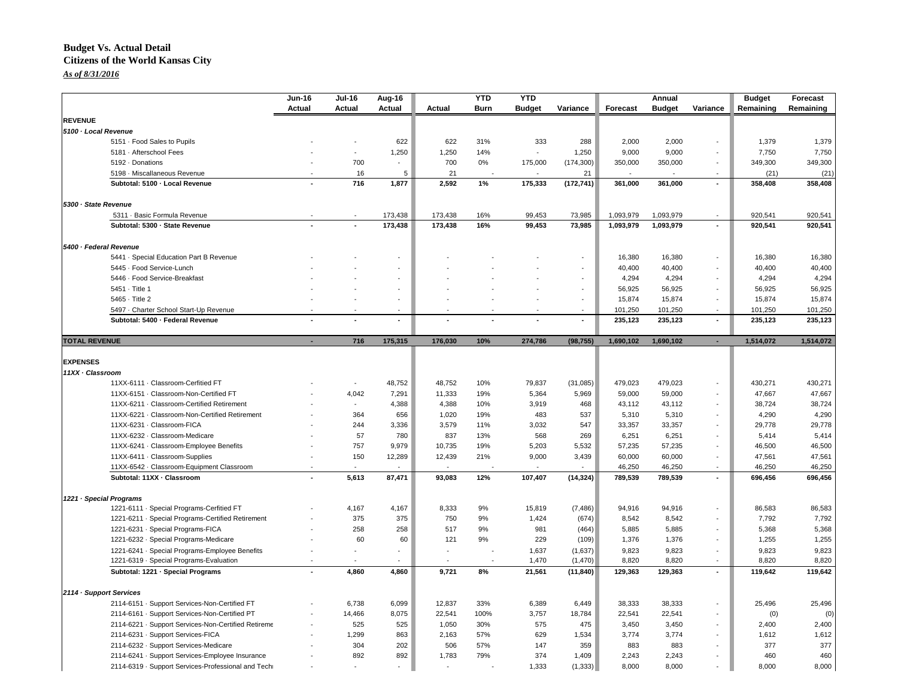### **Budget Vs. Actual Detail Citizens of the World Kansas City** *As of 8/31/2016*

|                      |                                                     | $Jun-16$                 | <b>Jul-16</b>            | Aug-16         |               | <b>YTD</b>     | <b>YTD</b>    |            |           | Annual        |                | <b>Budget</b> | Forecast  |
|----------------------|-----------------------------------------------------|--------------------------|--------------------------|----------------|---------------|----------------|---------------|------------|-----------|---------------|----------------|---------------|-----------|
|                      |                                                     | Actual                   | <b>Actual</b>            | <b>Actual</b>  | <b>Actual</b> | <b>Burn</b>    | <b>Budget</b> | Variance   | Forecast  | <b>Budget</b> | Variance       | Remaining     | Remaining |
| <b>REVENUE</b>       |                                                     |                          |                          |                |               |                |               |            |           |               |                |               |           |
| 5100 · Local Revenue |                                                     |                          |                          |                |               |                |               |            |           |               |                |               |           |
|                      | 5151 Food Sales to Pupils                           |                          |                          | 622            | 622           | 31%            | 333           | 288        | 2,000     | 2,000         |                | 1,379         | 1,379     |
|                      | 5181 - Afterschool Fees                             |                          |                          | 1,250          | 1,250         | 14%            | $\sim$        | 1,250      | 9,000     | 9,000         |                | 7,750         | 7,750     |
|                      | 5192 Donations                                      |                          | 700                      |                | 700           | 0%             | 175,000       | (174, 300) | 350,000   | 350,000       |                | 349,300       | 349,300   |
|                      | 5198 Miscallaneous Revenue                          |                          | 16                       | 5              | 21            |                |               | 21         |           |               |                | (21)          | (21)      |
|                      | Subtotal: 5100 · Local Revenue                      |                          | 716                      | 1,877          | 2,592         | 1%             | 175,333       | (172, 741) | 361,000   | 361,000       | $\blacksquare$ | 358,408       | 358,408   |
| 5300 · State Revenue |                                                     |                          |                          |                |               |                |               |            |           |               |                |               |           |
|                      | 5311 · Basic Formula Revenue                        |                          |                          | 173,438        | 173,438       | 16%            | 99,453        | 73,985     | 1,093,979 | 1,093,979     |                | 920,541       | 920,541   |
|                      | Subtotal: 5300 · State Revenue                      |                          |                          | 173,438        | 173,438       | 16%            | 99,453        | 73,985     | 1,093,979 | 1,093,979     |                | 920,541       | 920,541   |
|                      | 5400 · Federal Revenue                              |                          |                          |                |               |                |               |            |           |               |                |               |           |
|                      | 5441 · Special Education Part B Revenue             |                          |                          |                |               |                |               | $\sim$     | 16,380    | 16,380        |                | 16,380        | 16,380    |
|                      | 5445 · Food Service-Lunch                           |                          |                          |                |               |                |               | $\sim$     | 40,400    | 40,400        |                | 40,400        | 40,400    |
|                      | 5446 Food Service-Breakfast                         |                          |                          |                |               |                |               | $\sim$     | 4,294     | 4,294         |                | 4,294         | 4,294     |
|                      | 5451 · Title 1                                      |                          |                          |                |               |                |               | $\sim$     | 56,925    | 56,925        |                | 56,925        | 56,925    |
|                      | 5465 · Title 2                                      |                          |                          |                |               |                |               | $\sim$     | 15,874    | 15,874        |                | 15,874        | 15,874    |
|                      | 5497 - Charter School Start-Up Revenue              | $\sim$                   | $\overline{\phantom{a}}$ | $\sim$         | $\sim$        | $\blacksquare$ | $\sim$        | $\sim$     | 101,250   | 101,250       | $\sim$         | 101,250       | 101,250   |
|                      | Subtotal: 5400 · Federal Revenue                    |                          | ۰                        | $\blacksquare$ |               |                |               | $\sim$     | 235,123   | 235,123       | $\sim$         | 235,123       | 235,123   |
| <b>TOTAL REVENUE</b> |                                                     | $\overline{\phantom{a}}$ | 716                      | 175,315        | 176,030       | 10%            | 274,786       | (98, 755)  | 1,690,102 | 1,690,102     |                | 1,514,072     | 1,514,072 |
|                      |                                                     |                          |                          |                |               |                |               |            |           |               |                |               |           |
| <b>EXPENSES</b>      |                                                     |                          |                          |                |               |                |               |            |           |               |                |               |           |
| 11XX · Classroom     |                                                     |                          |                          |                |               |                |               |            |           |               |                |               |           |
|                      | 11XX-6111 · Classroom-Cerfitied FT                  |                          | $\blacksquare$           | 48,752         | 48,752        | 10%            | 79,837        | (31,085)   | 479,023   | 479,023       |                | 430,271       | 430,271   |
|                      | 11XX-6151 · Classroom-Non-Certified FT              |                          | 4,042                    | 7,291          | 11,333        | 19%            | 5,364         | 5,969      | 59,000    | 59,000        |                | 47,667        | 47,667    |
|                      | 11XX-6211 · Classroom-Certified Retirement          |                          |                          | 4,388          | 4,388         | 10%            | 3,919         | 468        | 43,112    | 43,112        |                | 38,724        | 38,724    |
|                      | 11XX-6221 · Classroom-Non-Certified Retirement      |                          | 364                      | 656            | 1,020         | 19%            | 483           | 537        | 5,310     | 5,310         |                | 4,290         | 4,290     |
|                      | 11XX-6231 · Classroom-FICA                          |                          | 244                      | 3,336          | 3,579         | 11%            | 3,032         | 547        | 33,357    | 33,357        |                | 29,778        | 29,778    |
|                      | 11XX-6232 · Classroom-Medicare                      |                          | 57                       | 780            | 837           | 13%            | 568           | 269        | 6,251     | 6,251         |                | 5,414         | 5,414     |
|                      | 11XX-6241 · Classroom-Employee Benefits             |                          | 757                      | 9,979          | 10,735        | 19%            | 5,203         | 5,532      | 57,235    | 57,235        |                | 46,500        | 46,500    |
|                      | 11XX-6411 · Classroom-Supplies                      |                          | 150                      | 12,289         | 12,439        | 21%            | 9,000         | 3,439      | 60,000    | 60,000        |                | 47,561        | 47,561    |
|                      | 11XX-6542 · Classroom-Equipment Classroom           |                          | $\blacksquare$           |                |               |                |               |            | 46,250    | 46,250        |                | 46,250        | 46,250    |
|                      | Subtotal: 11XX · Classroom                          |                          | 5,613                    | 87,471         | 93,083        | 12%            | 107,407       | (14, 324)  | 789,539   | 789,539       |                | 696,456       | 696,456   |
|                      | 1221 · Special Programs                             |                          |                          |                |               |                |               |            |           |               |                |               |           |
|                      | 1221-6111 · Special Programs-Cerfitied FT           |                          | 4,167                    | 4,167          | 8,333         | 9%             | 15,819        | (7, 486)   | 94,916    | 94,916        | $\sim$         | 86,583        | 86,583    |
|                      | 1221-6211 · Special Programs-Certified Retirement   |                          | 375                      | 375            | 750           | 9%             | 1,424         | (674)      | 8,542     | 8,542         | $\sim$         | 7,792         | 7,792     |
|                      | 1221-6231 · Special Programs-FICA                   |                          | 258                      | 258            | 517           | 9%             | 981           | (464)      | 5,885     | 5,885         | $\sim$         | 5,368         | 5,368     |
|                      | 1221-6232 Special Programs-Medicare                 |                          | 60                       | 60             | 121           | 9%             | 229           | (109)      | 1,376     | 1,376         |                | 1,255         | 1,255     |
|                      | 1221-6241 · Special Programs-Employee Benefits      |                          |                          |                |               |                | 1,637         | (1,637)    | 9,823     | 9,823         |                | 9,823         | 9,823     |
|                      | 1221-6319 · Special Programs-Evaluation             |                          |                          |                |               |                | 1,470         | (1,470)    | 8,820     | 8,820         |                | 8,820         | 8,820     |
|                      | Subtotal: 1221 · Special Programs                   | $\blacksquare$           | 4,860                    | 4,860          | 9,721         | 8%             | 21,561        | (11, 840)  | 129,363   | 129,363       | $\sim$         | 119,642       | 119,642   |
|                      | 2114 · Support Services                             |                          |                          |                |               |                |               |            |           |               |                |               |           |
|                      | 2114-6151 Support Services-Non-Certified FT         |                          | 6,738                    | 6,099          | 12,837        | 33%            | 6,389         | 6,449      | 38,333    | 38,333        | $\sim$         | 25,496        | 25,496    |
|                      | 2114-6161 · Support Services-Non-Certified PT       |                          | 14,466                   | 8,075          | 22,541        | 100%           | 3,757         | 18,784     | 22,541    | 22,541        | $\sim$         | (0)           | (0)       |
|                      | 2114-6221 · Support Services-Non-Certified Retireme |                          | 525                      | 525            | 1,050         | 30%            | 575           | 475        | 3,450     | 3,450         | $\sim$         | 2,400         | 2,400     |
|                      | 2114-6231 · Support Services-FICA                   |                          | 1,299                    | 863            | 2,163         | 57%            | 629           | 1,534      | 3,774     | 3,774         |                | 1,612         | 1,612     |
|                      | 2114-6232 · Support Services-Medicare               |                          | 304                      | 202            | 506           | 57%            | 147           | 359        | 883       | 883           | $\sim$         | 377           | 377       |
|                      | 2114-6241 · Support Services-Employee Insurance     |                          | 892                      | 892            | 1,783         | 79%            | 374           | 1,409      | 2,243     | 2,243         |                | 460           | 460       |

2114-6319 · Support Services-Professional and Technical Services - - - - - 1,333 (1,333) 8,000 8,000 - 8,000 8,000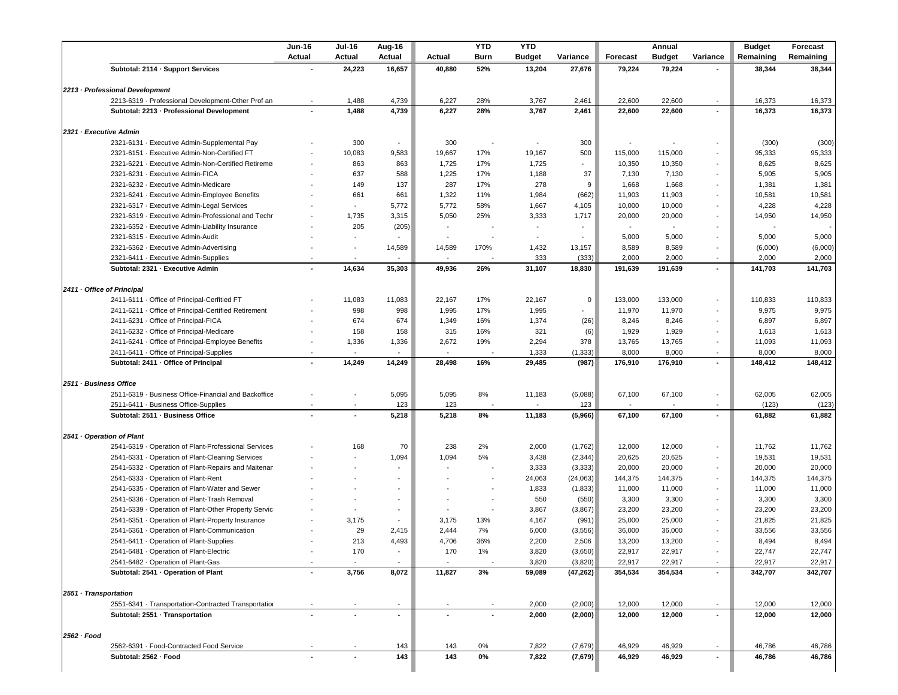|                                      |                                                      | <b>Jun-16</b><br><b>Actual</b> | <b>Jul-16</b><br><b>Actual</b> | Aug-16<br><b>Actual</b> | <b>Actual</b> | <b>YTD</b><br><b>Burn</b> | <b>YTD</b><br><b>Budget</b> | Variance       | <b>Forecast</b> | Annual<br><b>Budget</b> | Variance       | <b>Budget</b><br>Remaining | Forecast<br>Remaining      |
|--------------------------------------|------------------------------------------------------|--------------------------------|--------------------------------|-------------------------|---------------|---------------------------|-----------------------------|----------------|-----------------|-------------------------|----------------|----------------------------|----------------------------|
|                                      | Subtotal: 2114 · Support Services                    |                                | 24,223                         | 16,657                  | 40,880        | 52%                       | 13,204                      | 27,676         | 79,224          | 79,224                  |                | 38,344                     | 38,344                     |
|                                      |                                                      |                                |                                |                         |               |                           |                             |                |                 |                         |                |                            |                            |
|                                      | 2213 - Professional Development                      |                                |                                |                         |               |                           |                             |                |                 |                         |                |                            |                            |
|                                      | 2213-6319 - Professional Development-Other Prof an   | $\sim$                         | 1,488                          | 4,739                   | 6,227         | 28%                       | 3,767                       | 2,461          | 22,600          | 22,600                  | $\sim$         | 16,373                     | 16,373                     |
|                                      | Subtotal: 2213 - Professional Development            | $\blacksquare$                 | 1,488                          | 4,739                   | 6,227         | 28%                       | 3,767                       | 2,461          | 22,600          | 22,600                  |                | 16,373                     | 16,373                     |
|                                      | 2321 · Executive Admin                               |                                |                                |                         |               |                           |                             |                |                 |                         |                |                            |                            |
|                                      | 2321-6131 · Executive Admin-Supplemental Pay         |                                | 300                            | $\sim$                  | 300           |                           | $\overline{\phantom{a}}$    | 300            |                 |                         |                | (300)                      | (300)                      |
|                                      | 2321-6151 · Executive Admin-Non-Certified FT         |                                | 10,083                         | 9,583                   | 19,667        | 17%                       | 19,167                      | 500            | 115,000         | 115,000                 | $\sim$         | 95,333                     | 95,333                     |
|                                      | 2321-6221 Executive Admin-Non-Certified Retireme     |                                | 863                            | 863                     | 1,725         | 17%                       | 1,725                       | $\sim$         | 10,350          | 10,350                  | $\blacksquare$ | 8,625                      | 8,625                      |
|                                      | 2321-6231 Executive Admin-FICA                       |                                | 637                            | 588                     | 1,225         | 17%                       | 1,188                       | 37             | 7,130           | 7,130                   | $\sim$         | 5,905                      | 5,905                      |
|                                      | 2321-6232 Executive Admin-Medicare                   |                                | 149                            | 137                     | 287           | 17%                       | 278                         | 9              | 1,668           | 1,668                   | $\sim$         | 1,381                      | 1,381                      |
|                                      | 2321-6241 Executive Admin-Employee Benefits          |                                | 661                            | 661                     | 1,322         | 11%                       | 1,984                       | (662)          | 11,903          | 11,903                  | $\sim$         | 10,581                     | 10,581                     |
|                                      | 2321-6317 · Executive Admin-Legal Services           |                                | $\sim$                         | 5,772                   | 5,772         | 58%                       | 1,667                       | 4,105          | 10,000          | 10,000                  | $\sim$         | 4,228                      | 4,228                      |
|                                      | 2321-6319 · Executive Admin-Professional and Techr   |                                | 1,735                          | 3,315                   | 5,050         | 25%                       | 3,333                       | 1,717          | 20,000          | 20,000                  |                | 14,950                     | 14,950                     |
|                                      | 2321-6352 Executive Admin-Liability Insurance        |                                | 205                            | (205)                   |               |                           |                             |                |                 |                         |                |                            |                            |
|                                      | 2321-6315 Executive Admin-Audit                      |                                |                                |                         |               |                           |                             |                | 5,000           | 5,000                   | $\sim$         | 5,000                      | 5,000                      |
|                                      | 2321-6362 · Executive Admin-Advertising              |                                |                                | 14,589                  | 14,589        | 170%                      | 1,432                       | 13,157         | 8,589           | 8,589                   | $\sim$         | (6,000)                    | (6,000)                    |
|                                      | 2321-6411 Executive Admin-Supplies                   |                                |                                |                         |               |                           | 333                         | (333)          | 2,000           | 2,000                   |                | 2,000                      | 2,000                      |
|                                      | Subtotal: 2321 - Executive Admin                     |                                | 14,634                         | 35,303                  | 49,936        | 26%                       | 31,107                      | 18,830         | 191,639         | 191,639                 |                | 141,703                    | 141,703                    |
|                                      | 2411 Office of Principal                             |                                |                                |                         |               |                           |                             |                |                 |                         |                |                            |                            |
|                                      | 2411-6111 Office of Principal-Cerfitied FT           |                                | 11,083                         | 11,083                  | 22,167        | 17%                       | 22,167                      | $\overline{0}$ | 133,000         | 133,000                 |                | 110,833                    | 110,833                    |
|                                      | 2411-6211 Office of Principal-Certified Retirement   |                                | 998                            | 998                     | 1,995         | 17%                       | 1,995                       | $\sim$         | 11,970          | 11,970                  |                | 9,975                      | 9,975                      |
|                                      | 2411-6231 Office of Principal-FICA                   |                                | 674                            | 674                     | 1,349         | 16%                       | 1,374                       | (26)           | 8,246           | 8,246                   | $\sim$         | 6,897                      | 6,897                      |
|                                      | 2411-6232 Office of Principal-Medicare               |                                | 158                            | 158                     | 315           | 16%                       | 321                         | (6)            | 1,929           | 1,929                   |                | 1,613                      | 1,613                      |
|                                      | 2411-6241 Office of Principal-Employee Benefits      |                                | 1,336                          | 1,336                   | 2,672         | 19%                       | 2,294                       | 378            | 13,765          | 13,765                  | $\sim$         | 11,093                     | 11,093                     |
|                                      | 2411-6411 Office of Principal-Supplies               | $\sim$                         |                                | $\sim$                  | $\sim$        |                           | 1,333                       | (1, 333)       | 8,000           | 8,000                   | $\sim$         | 8,000                      | 8,000                      |
|                                      | Subtotal: 2411 · Office of Principal                 |                                | 14,249                         | 14,249                  | 28,498        | 16%                       | 29,485                      | (987)          | 176,910         | 176,910                 | $\blacksquare$ | 148,412                    | 148,412                    |
|                                      |                                                      |                                |                                |                         |               |                           |                             |                |                 |                         |                |                            |                            |
|                                      | 2511 · Business Office                               |                                |                                |                         |               |                           |                             |                |                 |                         |                |                            |                            |
|                                      | 2511-6319 Business Office-Financial and Backoffice   |                                |                                | 5,095                   | 5,095         | 8%                        | 11,183                      | (6,088)        | 67,100          | 67,100                  |                | 62,005                     | 62,005                     |
|                                      | 2511-6411 · Business Office-Supplies                 |                                |                                | 123                     | 123           |                           |                             | 123            |                 |                         |                | (123)                      | (123)                      |
|                                      | Subtotal: 2511 · Business Office                     |                                |                                | 5.218                   | 5.218         | 8%                        | 11.183                      | (5,966)        | 67.100          | 67.100                  |                | 61.882                     | 61,882                     |
|                                      | 2541 Operation of Plant                              |                                |                                |                         |               |                           |                             |                |                 |                         |                |                            |                            |
|                                      | 2541-6319 Operation of Plant-Professional Services   |                                | 168                            | 70                      | 238           | 2%                        | 2,000                       | (1,762)        | 12,000          | 12,000                  | $\sim$         | 11,762                     | 11,762                     |
|                                      | 2541-6331 Operation of Plant-Cleaning Services       |                                |                                | 1,094                   | 1,094         | 5%                        | 3,438                       | (2, 344)       | 20,625          | 20,625                  | $\sim$         | 19,531                     | 19,531                     |
|                                      | 2541-6332 · Operation of Plant-Repairs and Maitenar  |                                |                                | $\sim$                  | $\sim$        | $\blacksquare$            | 3,333                       | (3, 333)       | 20,000          | 20,000                  | $\sim$         | 20,000                     | 20,000                     |
|                                      | 2541-6333 Operation of Plant-Rent                    |                                |                                | $\sim$                  |               | $\blacksquare$            | 24,063                      | (24,063)       | 144,375         | 144,375                 | $\sim$         | 144,375                    | 144,375                    |
|                                      | 2541-6335 Operation of Plant-Water and Sewer         |                                |                                | $\sim$                  |               |                           | 1,833                       | (1,833)        | 11,000          | 11,000                  | $\sim$         | 11,000                     | 11,000                     |
|                                      | 2541-6336 Operation of Plant-Trash Removal           |                                |                                | $\blacksquare$          |               | $\sim$                    | 550                         | (550)          | 3,300           | 3,300                   | $\sim$         | 3,300                      | 3,300                      |
|                                      | 2541-6339 · Operation of Plant-Other Property Servic |                                | $\sim$                         | $\blacksquare$          | $\sim$        | $\blacksquare$            | 3,867                       | (3,867)        | 23,200          | 23,200                  | $\sim$         | 23,200                     | 23,200                     |
|                                      | 2541-6351 Operation of Plant-Property Insurance      |                                | 3,175                          | $\sim$                  | 3,175         | 13%                       | 4,167                       | (991)          | 25,000          | 25,000                  | $\sim$         | 21,825                     | 21,825                     |
|                                      | 2541-6361 Operation of Plant-Communication           |                                | 29                             | 2,415                   | 2,444         | 7%                        | 6,000                       | (3, 556)       | 36,000          | 36,000                  | $\sim$         | 33,556                     | 33,556                     |
|                                      | 2541-6411 Operation of Plant-Supplies                |                                | 213                            | 4,493                   | 4,706         | 36%                       | 2,200                       | 2,506          | 13,200          | 13,200                  | $\sim$         | 8,494                      | 8,494                      |
|                                      |                                                      |                                | 170                            | $\sim$                  | 170           | $1\%$                     | 3,820                       | (3,650)        | 22,917          | 22,917                  | $\sim$         | 22,747                     | 22,747                     |
|                                      | 2541-6481 Operation of Plant-Electric                |                                |                                |                         |               |                           | 3,820                       | (3,820)        | 22,917          | 22,917                  | $\sim$         | 22,917                     | 22,917                     |
|                                      | 2541-6482 Operation of Plant-Gas                     |                                |                                |                         |               |                           |                             | (47, 262)      | 354,534         | 354,534                 |                | 342,707                    | 342,707                    |
|                                      | Subtotal: 2541 · Operation of Plant                  |                                | 3,756                          | 8,072                   | 11,827        | 3%                        | 59,089                      |                |                 |                         |                |                            |                            |
|                                      |                                                      |                                |                                |                         |               |                           |                             |                |                 |                         |                |                            |                            |
|                                      |                                                      |                                |                                |                         |               |                           |                             |                |                 |                         |                |                            |                            |
|                                      | 2551-6341 · Transportation-Contracted Transportation |                                |                                |                         |               |                           | 2,000                       | (2,000)        | 12,000          | 12,000                  |                | 12,000                     |                            |
|                                      | Subtotal: 2551 - Transportation                      |                                |                                |                         |               |                           | 2,000                       | (2,000)        | 12,000          | 12,000                  |                | 12,000                     |                            |
| 2551 · Transportation<br>2562 · Food | 2562-6391 · Food-Contracted Food Service             |                                |                                | 143                     | 143           | 0%                        | 7,822                       | (7,679)        | 46,929          | 46,929                  |                | 46,786                     | 12,000<br>12,000<br>46,786 |